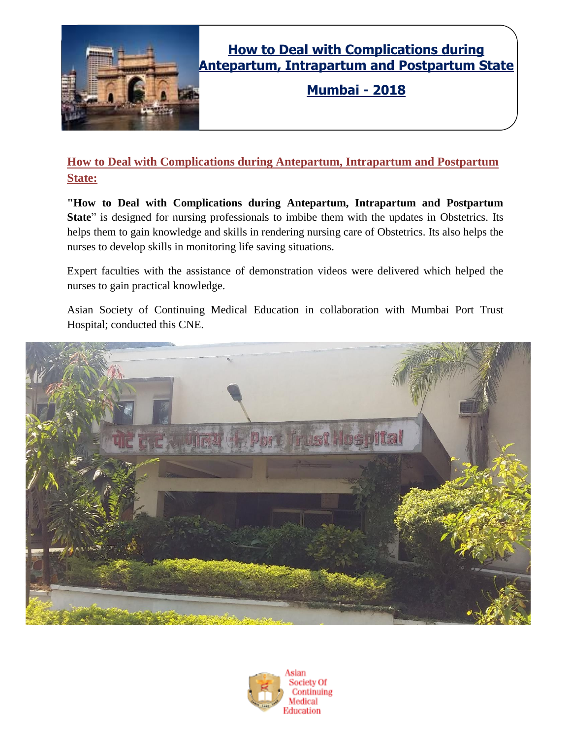

## **How to Deal with Complications during Antepartum, Intrapartum and Postpartum State**

**Mumbai - 2018**

### **How to Deal with Complications during Antepartum, Intrapartum and Postpartum State:**

**"How to Deal with Complications during Antepartum, Intrapartum and Postpartum State**" is designed for nursing professionals to imbibe them with the updates in Obstetrics. Its helps them to gain knowledge and skills in rendering nursing care of Obstetrics. Its also helps the nurses to develop skills in monitoring life saving situations.

Expert faculties with the assistance of demonstration videos were delivered which helped the nurses to gain practical knowledge.

Asian Society of Continuing Medical Education in collaboration with Mumbai Port Trust Hospital; conducted this CNE.



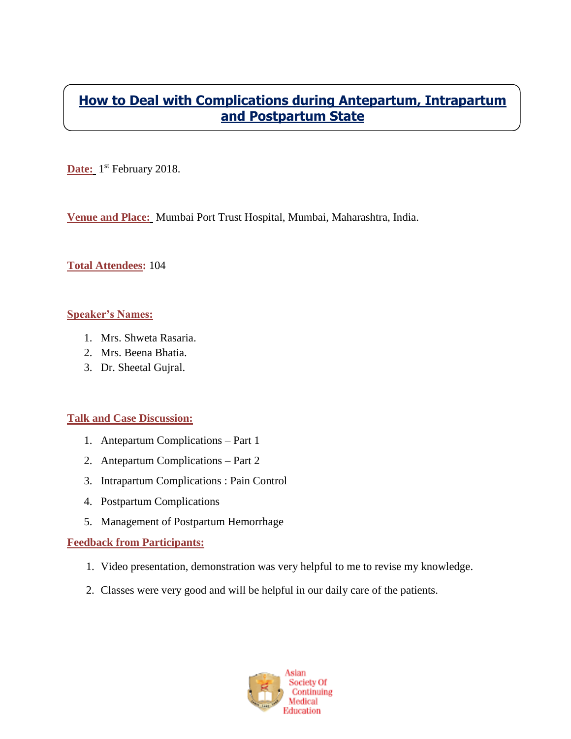### **How to Deal with Complications during Antepartum, Intrapartum and Postpartum State**

Date: 1<sup>st</sup> February 2018.

**Venue and Place:** Mumbai Port Trust Hospital, Mumbai, Maharashtra, India.

#### **Total Attendees:** 104

#### **Speaker's Names:**

- 1. Mrs. Shweta Rasaria.
- 2. Mrs. Beena Bhatia.
- 3. Dr. Sheetal Gujral.

#### **Talk and Case Discussion:**

- 1. Antepartum Complications Part 1
- 2. Antepartum Complications Part 2
- 3. Intrapartum Complications : Pain Control
- 4. Postpartum Complications
- 5. Management of Postpartum Hemorrhage

#### **Feedback from Participants:**

- 1. Video presentation, demonstration was very helpful to me to revise my knowledge.
- 2. Classes were very good and will be helpful in our daily care of the patients.

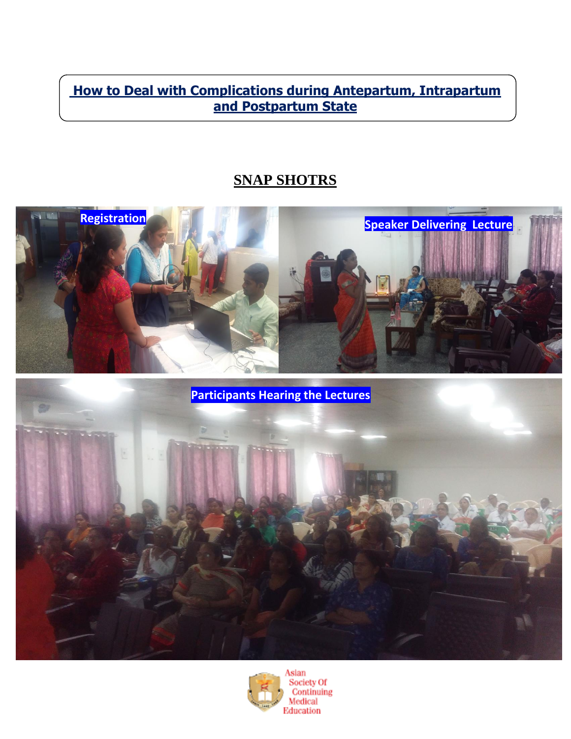**How to Deal with Complications during Antepartum, Intrapartum and Postpartum State**

# **SNAP SHOTRS**